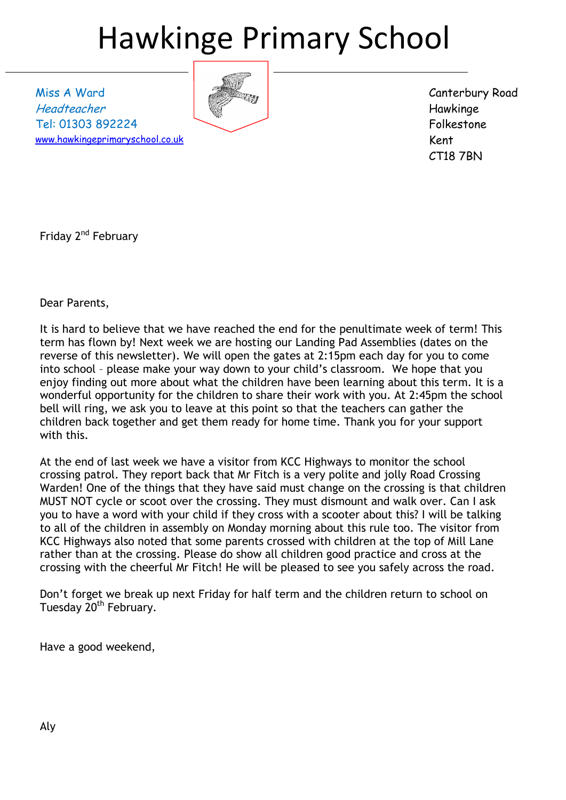# Hawkinge Primary School

Miss A Ward Headteacher Tel: 01303 892224 [www.hawkingeprimaryschool.co.uk](http://www.hawkingeprimaryschool.co.uk/)



Canterbury Road Hawkinge Folkestone Kent CT18 7BN

Friday 2<sup>nd</sup> February

Dear Parents,

It is hard to believe that we have reached the end for the penultimate week of term! This term has flown by! Next week we are hosting our Landing Pad Assemblies (dates on the reverse of this newsletter). We will open the gates at 2:15pm each day for you to come into school – please make your way down to your child's classroom. We hope that you enjoy finding out more about what the children have been learning about this term. It is a wonderful opportunity for the children to share their work with you. At 2:45pm the school bell will ring, we ask you to leave at this point so that the teachers can gather the children back together and get them ready for home time. Thank you for your support with this.

At the end of last week we have a visitor from KCC Highways to monitor the school crossing patrol. They report back that Mr Fitch is a very polite and jolly Road Crossing Warden! One of the things that they have said must change on the crossing is that children MUST NOT cycle or scoot over the crossing. They must dismount and walk over. Can I ask you to have a word with your child if they cross with a scooter about this? I will be talking to all of the children in assembly on Monday morning about this rule too. The visitor from KCC Highways also noted that some parents crossed with children at the top of Mill Lane rather than at the crossing. Please do show all children good practice and cross at the crossing with the cheerful Mr Fitch! He will be pleased to see you safely across the road.

Don't forget we break up next Friday for half term and the children return to school on Tuesday 20<sup>th</sup> February.

Have a good weekend,